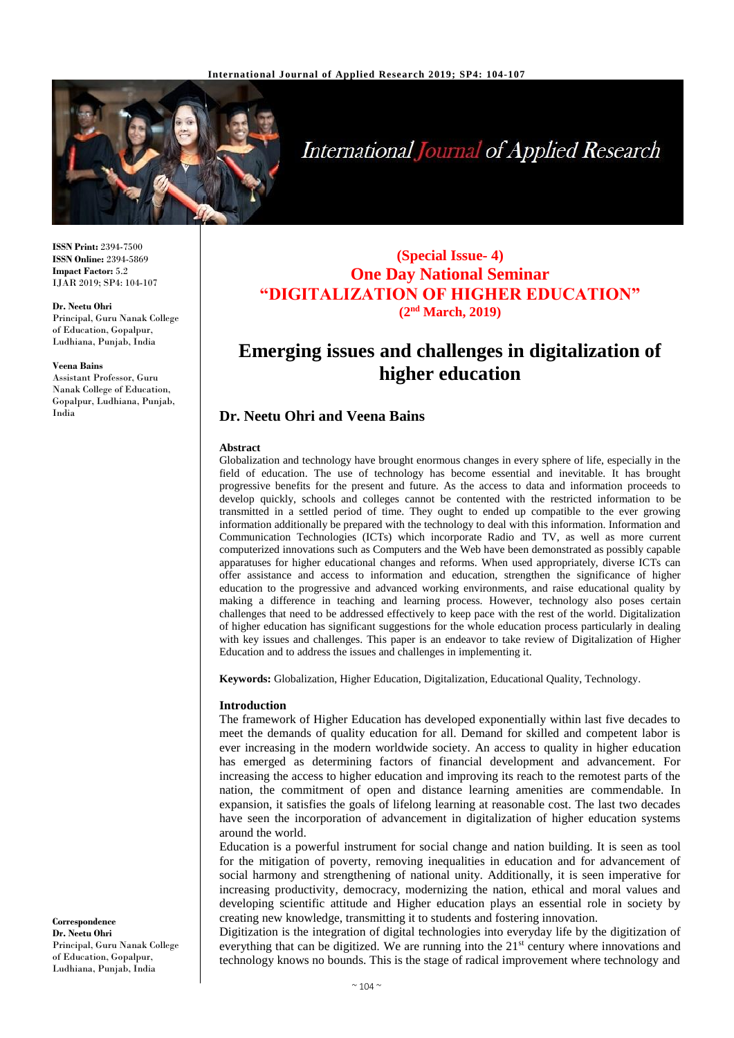

# **International Journal of Applied Research**

**ISSN Print:** 2394-7500 **ISSN Online:** 2394-5869 **Impact Factor:** 5.2 IJAR 2019; SP4: 104-107

#### **Dr. Neetu Ohri**

Principal, Guru Nanak College of Education, Gopalpur, Ludhiana, Punjab, India

#### **Veena Bains**

Assistant Professor, Guru Nanak College of Education, Gopalpur, Ludhiana, Punjab, India

**(Special Issue- 4) One Day National Seminar "DIGITALIZATION OF HIGHER EDUCATION" (2nd March, 2019)**

## **Emerging issues and challenges in digitalization of higher education**

## **Dr. Neetu Ohri and Veena Bains**

#### **Abstract**

Globalization and technology have brought enormous changes in every sphere of life, especially in the field of education. The use of technology has become essential and inevitable. It has brought progressive benefits for the present and future. As the access to data and information proceeds to develop quickly, schools and colleges cannot be contented with the restricted information to be transmitted in a settled period of time. They ought to ended up compatible to the ever growing information additionally be prepared with the technology to deal with this information. Information and Communication Technologies (ICTs) which incorporate Radio and TV, as well as more current computerized innovations such as Computers and the Web have been demonstrated as possibly capable apparatuses for higher educational changes and reforms. When used appropriately, diverse ICTs can offer assistance and access to information and education, strengthen the significance of higher education to the progressive and advanced working environments, and raise educational quality by making a difference in teaching and learning process. However, technology also poses certain challenges that need to be addressed effectively to keep pace with the rest of the world. Digitalization of higher education has significant suggestions for the whole education process particularly in dealing with key issues and challenges. This paper is an endeavor to take review of Digitalization of Higher Education and to address the issues and challenges in implementing it.

**Keywords:** Globalization, Higher Education, Digitalization, Educational Quality, Technology.

#### **Introduction**

The framework of Higher Education has developed exponentially within last five decades to meet the demands of quality education for all. Demand for skilled and competent labor is ever increasing in the modern worldwide society. An access to quality in higher education has emerged as determining factors of financial development and advancement. For increasing the access to higher education and improving its reach to the remotest parts of the nation, the commitment of open and distance learning amenities are commendable. In expansion, it satisfies the goals of lifelong learning at reasonable cost. The last two decades have seen the incorporation of advancement in digitalization of higher education systems around the world.

Education is a powerful instrument for social change and nation building. It is seen as tool for the mitigation of poverty, removing inequalities in education and for advancement of social harmony and strengthening of national unity. Additionally, it is seen imperative for increasing productivity, democracy, modernizing the nation, ethical and moral values and developing scientific attitude and Higher education plays an essential role in society by creating new knowledge, transmitting it to students and fostering innovation.

Digitization is the integration of digital technologies into everyday life by the digitization of everything that can be digitized. We are running into the 21<sup>st</sup> century where innovations and technology knows no bounds. This is the stage of radical improvement where technology and

**Correspondence Dr. Neetu Ohri** Principal, Guru Nanak College of Education, Gopalpur, Ludhiana, Punjab, India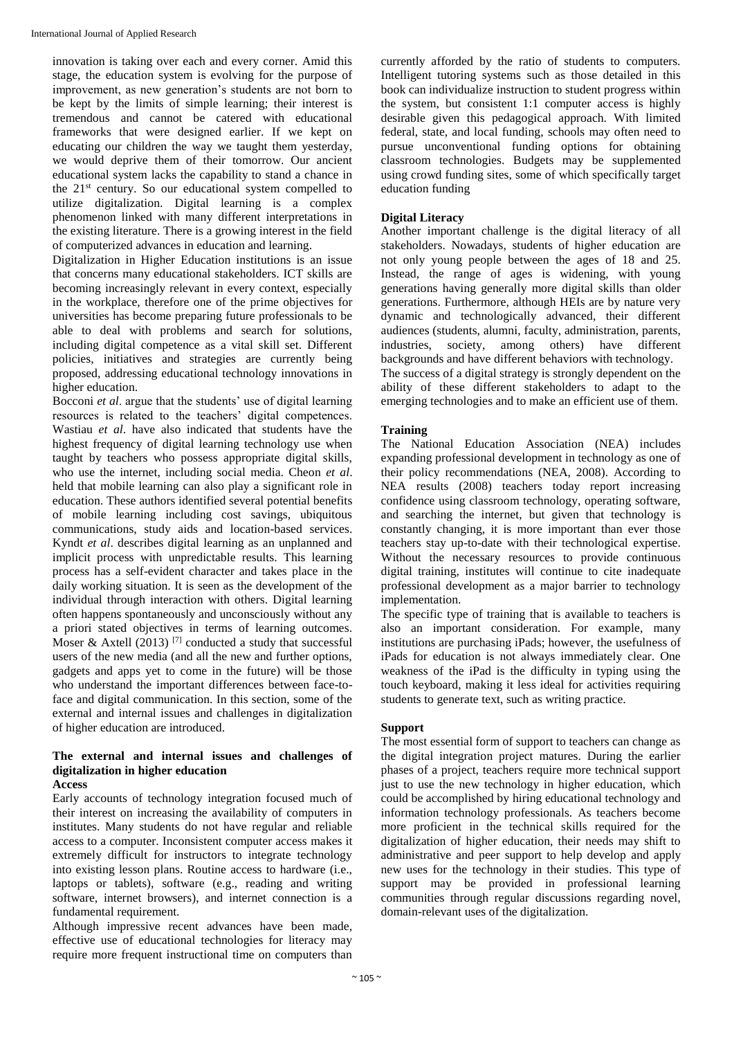innovation is taking over each and every corner. Amid this stage, the education system is evolving for the purpose of improvement, as new generation's students are not born to be kept by the limits of simple learning; their interest is tremendous and cannot be catered with educational frameworks that were designed earlier. If we kept on educating our children the way we taught them yesterday, we would deprive them of their tomorrow. Our ancient educational system lacks the capability to stand a chance in the 21st century. So our educational system compelled to utilize digitalization. Digital learning is a complex phenomenon linked with many different interpretations in the existing literature. There is a growing interest in the field of computerized advances in education and learning.

Digitalization in Higher Education institutions is an issue that concerns many educational stakeholders. ICT skills are becoming increasingly relevant in every context, especially in the workplace, therefore one of the prime objectives for universities has become preparing future professionals to be able to deal with problems and search for solutions, including digital competence as a vital skill set. Different policies, initiatives and strategies are currently being proposed, addressing educational technology innovations in higher education.

Bocconi *et al*. argue that the students' use of digital learning resources is related to the teachers' digital competences. Wastiau *et al*. have also indicated that students have the highest frequency of digital learning technology use when taught by teachers who possess appropriate digital skills, who use the internet, including social media. Cheon *et al*. held that mobile learning can also play a significant role in education. These authors identified several potential benefits of mobile learning including cost savings, ubiquitous communications, study aids and location-based services. Kyndt *et al*. describes digital learning as an unplanned and implicit process with unpredictable results. This learning process has a self-evident character and takes place in the daily working situation. It is seen as the development of the individual through interaction with others. Digital learning often happens spontaneously and unconsciously without any a priori stated objectives in terms of learning outcomes. Moser & Axtell (2013)<sup>[7]</sup> conducted a study that successful users of the new media (and all the new and further options, gadgets and apps yet to come in the future) will be those who understand the important differences between face-toface and digital communication. In this section, some of the external and internal issues and challenges in digitalization of higher education are introduced.

#### **The external and internal issues and challenges of digitalization in higher education Access**

Early accounts of technology integration focused much of their interest on increasing the availability of computers in institutes. Many students do not have regular and reliable access to a computer. Inconsistent computer access makes it extremely difficult for instructors to integrate technology into existing lesson plans. Routine access to hardware (i.e., laptops or tablets), software (e.g., reading and writing software, internet browsers), and internet connection is a fundamental requirement.

Although impressive recent advances have been made, effective use of educational technologies for literacy may require more frequent instructional time on computers than

currently afforded by the ratio of students to computers. Intelligent tutoring systems such as those detailed in this book can individualize instruction to student progress within the system, but consistent 1:1 computer access is highly desirable given this pedagogical approach. With limited federal, state, and local funding, schools may often need to pursue unconventional funding options for obtaining classroom technologies. Budgets may be supplemented using crowd funding sites, some of which specifically target education funding

## **Digital Literacy**

Another important challenge is the digital literacy of all stakeholders. Nowadays, students of higher education are not only young people between the ages of 18 and 25. Instead, the range of ages is widening, with young generations having generally more digital skills than older generations. Furthermore, although HEIs are by nature very dynamic and technologically advanced, their different audiences (students, alumni, faculty, administration, parents, industries, society, among others) have different backgrounds and have different behaviors with technology. The success of a digital strategy is strongly dependent on the ability of these different stakeholders to adapt to the emerging technologies and to make an efficient use of them.

## **Training**

The National Education Association (NEA) includes expanding professional development in technology as one of their policy recommendations (NEA, 2008). According to NEA results (2008) teachers today report increasing confidence using classroom technology, operating software, and searching the internet, but given that technology is constantly changing, it is more important than ever those teachers stay up-to-date with their technological expertise. Without the necessary resources to provide continuous digital training, institutes will continue to cite inadequate professional development as a major barrier to technology implementation.

The specific type of training that is available to teachers is also an important consideration. For example, many institutions are purchasing iPads; however, the usefulness of iPads for education is not always immediately clear. One weakness of the iPad is the difficulty in typing using the touch keyboard, making it less ideal for activities requiring students to generate text, such as writing practice.

### **Support**

The most essential form of support to teachers can change as the digital integration project matures. During the earlier phases of a project, teachers require more technical support just to use the new technology in higher education, which could be accomplished by hiring educational technology and information technology professionals. As teachers become more proficient in the technical skills required for the digitalization of higher education, their needs may shift to administrative and peer support to help develop and apply new uses for the technology in their studies. This type of support may be provided in professional learning communities through regular discussions regarding novel, domain-relevant uses of the digitalization.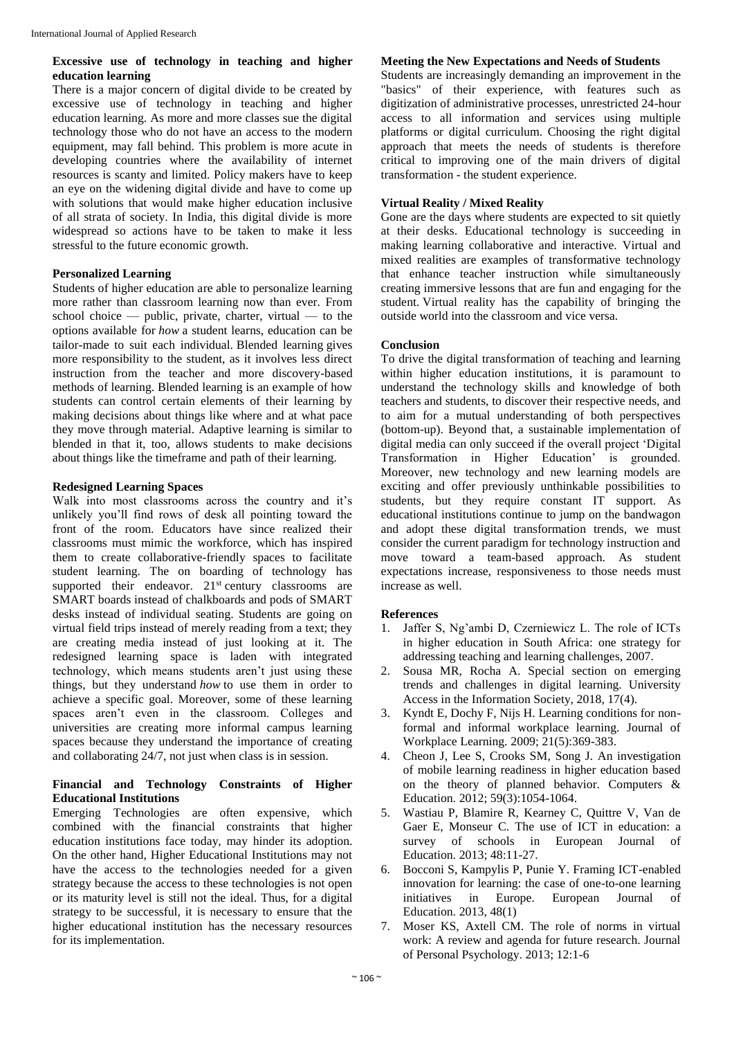### **Excessive use of technology in teaching and higher education learning**

There is a major concern of digital divide to be created by excessive use of technology in teaching and higher education learning. As more and more classes sue the digital technology those who do not have an access to the modern equipment, may fall behind. This problem is more acute in developing countries where the availability of internet resources is scanty and limited. Policy makers have to keep an eye on the widening digital divide and have to come up with solutions that would make higher education inclusive of all strata of society. In India, this digital divide is more widespread so actions have to be taken to make it less stressful to the future economic growth.

#### **Personalized Learning**

Students of higher education are able to personalize learning more rather than classroom learning now than ever. From school choice — public, private, charter, virtual — to the options available for *how* a student learns, education can be tailor-made to suit each individual. Blended learning gives more responsibility to the student, as it involves less direct instruction from the teacher and more discovery-based methods of learning. Blended learning is an example of how students can control certain elements of their learning by making decisions about things like where and at what pace they move through material. Adaptive learning is similar to blended in that it, too, allows students to make decisions about things like the timeframe and path of their learning.

#### **Redesigned Learning Spaces**

Walk into most classrooms across the country and it's unlikely you'll find rows of desk all pointing toward the front of the room. Educators have since realized their classrooms must mimic the workforce, which has inspired them to create collaborative-friendly spaces to facilitate student learning. The on boarding of technology has supported their endeavor.  $21<sup>st</sup>$  century classrooms are SMART boards instead of chalkboards and pods of SMART desks instead of individual seating. Students are going on virtual field trips instead of merely reading from a text; they are creating media instead of just looking at it. The redesigned learning space is laden with integrated technology, which means students aren't just using these things, but they understand *how* to use them in order to achieve a specific goal. Moreover, some of these learning spaces aren't even in the classroom. Colleges and universities are creating more informal campus learning spaces because they understand the importance of creating and collaborating 24/7, not just when class is in session.

### **Financial and Technology Constraints of Higher Educational Institutions**

Emerging Technologies are often expensive, which combined with the financial constraints that higher education institutions face today, may hinder its adoption. On the other hand, Higher Educational Institutions may not have the access to the technologies needed for a given strategy because the access to these technologies is not open or its maturity level is still not the ideal. Thus, for a digital strategy to be successful, it is necessary to ensure that the higher educational institution has the necessary resources for its implementation.

#### **Meeting the New Expectations and Needs of Students**

Students are increasingly demanding an improvement in the "basics" of their experience, with features such as digitization of administrative processes, unrestricted 24-hour access to all information and services using multiple platforms or digital curriculum. Choosing the right digital approach that meets the needs of students is therefore critical to improving one of the main drivers of digital transformation - the student experience.

#### **Virtual Reality / Mixed Reality**

Gone are the days where students are expected to sit quietly at their desks. Educational technology is succeeding in making learning collaborative and interactive. Virtual and mixed realities are examples of transformative technology that enhance teacher instruction while simultaneously creating immersive lessons that are fun and engaging for the student. Virtual reality has the capability of bringing the outside world into the classroom and vice versa.

#### **Conclusion**

To drive the digital transformation of teaching and learning within higher education institutions, it is paramount to understand the technology skills and knowledge of both teachers and students, to discover their respective needs, and to aim for a mutual understanding of both perspectives (bottom-up). Beyond that, a sustainable implementation of digital media can only succeed if the overall project 'Digital Transformation in Higher Education' is grounded. Moreover, new technology and new learning models are exciting and offer previously unthinkable possibilities to students, but they require constant IT support. As educational institutions continue to jump on the bandwagon and adopt these digital transformation trends, we must consider the current paradigm for technology instruction and move toward a team-based approach. As student expectations increase, responsiveness to those needs must increase as well.

### **References**

- 1. Jaffer S, Ng'ambi D, Czerniewicz L. The role of ICTs in higher education in South Africa: one strategy for addressing teaching and learning challenges, 2007.
- 2. Sousa MR, Rocha A. Special section on emerging trends and challenges in digital learning. University Access in the Information Society, 2018, 17(4).
- 3. Kyndt E, Dochy F, Nijs H. Learning conditions for nonformal and informal workplace learning. Journal of Workplace Learning. 2009; 21(5):369-383.
- 4. Cheon J, Lee S, Crooks SM, Song J. An investigation of mobile learning readiness in higher education based on the theory of planned behavior. Computers & Education. 2012; 59(3):1054-1064.
- 5. Wastiau P, Blamire R, Kearney C, Quittre V, Van de Gaer E, Monseur C. The use of ICT in education: a survey of schools in European Journal of Education. 2013; 48:11-27.
- 6. Bocconi S, Kampylis P, Punie Y. Framing ICT-enabled innovation for learning: the case of one-to-one learning initiatives in Europe. European Journal of Education. 2013, 48(1)
- 7. Moser KS, Axtell CM. The role of norms in virtual work: A review and agenda for future research. Journal of Personal Psychology. 2013; 12:1-6